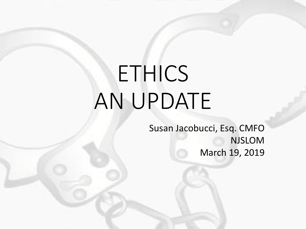# ETHICS AN UPDATE

Susan Jacobucci, Esq. CMFO NJSLOM March 19, 2019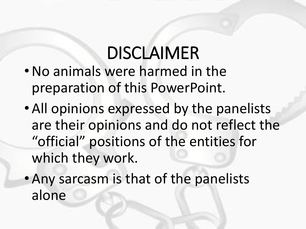# DISCLAIMER

- •No animals were harmed in the preparation of this PowerPoint.
- All opinions expressed by the panelists are their opinions and do not reflect the "official" positions of the entities for which they work.
- Any sarcasm is that of the panelists alone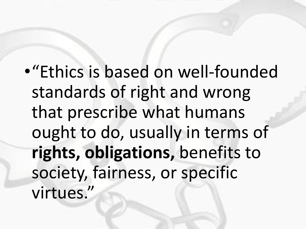•"Ethics is based on well-founded standards of right and wrong that prescribe what humans ought to do, usually in terms of **rights, obligations,** benefits to society, fairness, or specific virtues."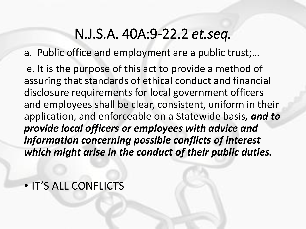#### N.J.S.A. 40A:9-22.2 *et.seq.*

a. Public office and employment are a public trust;…

e. It is the purpose of this act to provide a method of assuring that standards of ethical conduct and financial disclosure requirements for local government officers and employees shall be clear, consistent, uniform in their application, and enforceable on a Statewide basis*, and to provide local officers or employees with advice and information concerning possible conflicts of interest which might arise in the conduct of their public duties.*

• IT'S ALL CONFLICTS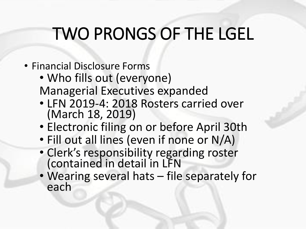# TWO PRONGS OF THE LGEL

- Financial Disclosure Forms
	- Who fills out (everyone) Managerial Executives expanded
	- LFN 2019-4: 2018 Rosters carried over (March 18, 2019)
	- Electronic filing on or before April 30th
	- Fill out all lines (even if none or N/A)
	- Clerk's responsibility regarding roster (contained in detail in LFN
	- Wearing several hats file separately for each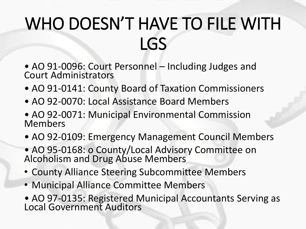# WHO DOESN'T HAVE TO FILE WITH LGS

- AO 91-0096: Court Personnel Including Judges and Court Administrators
- AO 91-0141: County Board of Taxation Commissioners
- AO 92-0070: Local Assistance Board Members
- AO 92-0071: Municipal Environmental Commission Members
- AO 92-0109: Emergency Management Council Members
- AO 95-0168: o County/Local Advisory Committee on Alcoholism and Drug Abuse Members
- County Alliance Steering Subcommittee Members
- Municipal Alliance Committee Members
- AO 97-0135: Registered Municipal Accountants Serving as Local Government Auditors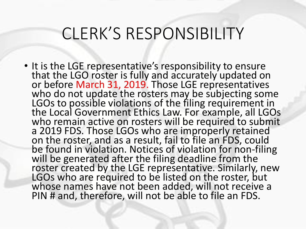#### CLERK'S RESPONSIBILITY

• It is the LGE representative's responsibility to ensure that the LGO roster is fully and accurately updated on or before March 31, 2019. Those LGE representatives who do not update the rosters may be subjecting some LGOs to possible violations of the filing requirement in the Local Government Ethics Law. For example, all LGOs who remain active on rosters will be required to submit a 2019 FDS. Those LGOs who are improperly retained on the roster, and as a result, fail to file an FDS, could be found in violation. Notices of violation for non-filing will be generated after the filing deadline from the roster created by the LGE representative. Similarly, new LGOs who are required to be listed on the roster, but whose names have not been added, will not receive a PIN # and, therefore, will not be able to file an FDS.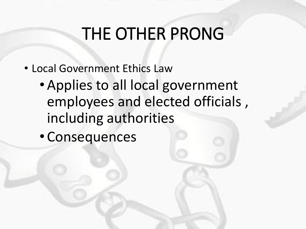### THE OTHER PRONG

- Local Government Ethics Law
	- Applies to all local government employees and elected officials , including authorities
	- Consequences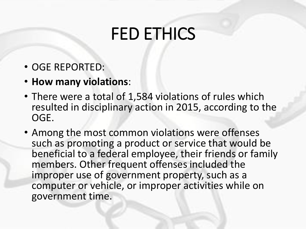### FED ETHICS

- OGE REPORTED:
- **How many violations**:
- There were a total of 1,584 violations of rules which resulted in disciplinary action in 2015, according to the OGE.
- Among the most common violations were offenses such as promoting a product or service that would be beneficial to a federal employee, their friends or family members. Other frequent offenses included the improper use of government property, such as a computer or vehicle, or improper activities while on government time.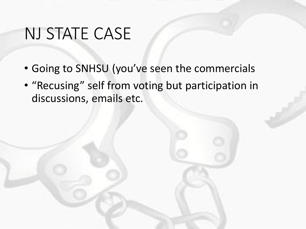### NJ STATE CASE

- Going to SNHSU (you've seen the commercials
- "Recusing" self from voting but participation in discussions, emails etc.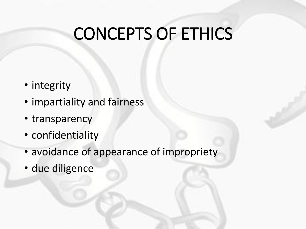### CONCEPTS OF ETHICS

- integrity
- impartiality and fairness
- transparency
- confidentiality
- avoidance of appearance of impropriety
- due diligence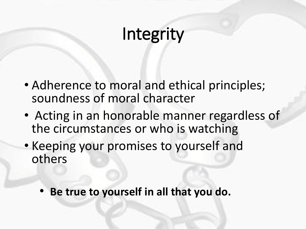## Integrity

- Adherence to moral and ethical principles; soundness of moral character
- Acting in an honorable manner regardless of the circumstances or who is watching
- Keeping your promises to yourself and others
	- **Be true to yourself in all that you do.**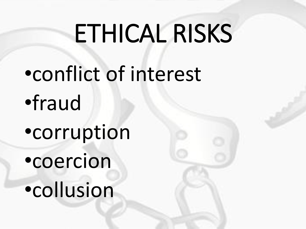# ETHICAL RISKS

- •conflict of interest
- •fraud
- •corruption
- •coercion
- •collusion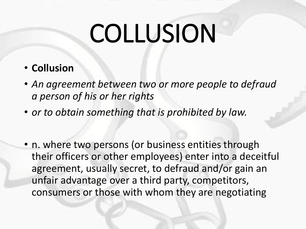# COLLUSION

#### • **Collusion**

- *An agreement between two or more people to defraud a person of his or her rights*
- *or to obtain something that is prohibited by law.*
- n. where two persons (or business entities through their officers or other employees) enter into a deceitful agreement, usually secret, to defraud and/or gain an unfair advantage over a third party, competitors, consumers or those with whom they are negotiating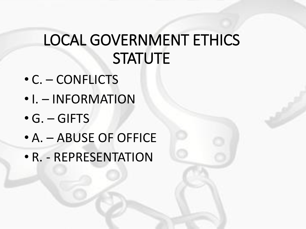#### LOCAL GOVERNMENT ETHICS **STATUTE**

- C. CONFLICTS
- I. INFORMATION
- G. GIFTS
- A. ABUSE OF OFFICE
- R. REPRESENTATION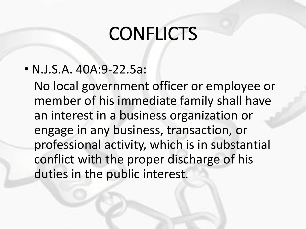• N.J.S.A. 40A:9-22.5a:

No local government officer or employee or member of his immediate family shall have an interest in a business organization or engage in any business, transaction, or professional activity, which is in substantial conflict with the proper discharge of his duties in the public interest.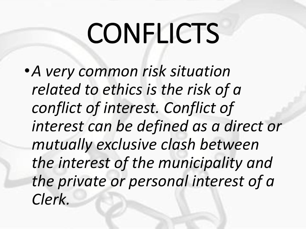•*A very common risk situation related to ethics is the risk of a conflict of interest. Conflict of interest can be defined as a direct or mutually exclusive clash between the interest of the municipality and the private or personal interest of a Clerk.*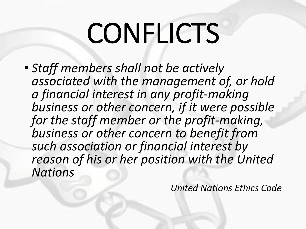• *Staff members shall not be actively associated with the management of, or hold a financial interest in any profit-making business or other concern, if it were possible for the staff member or the profit-making, business or other concern to benefit from such association or financial interest by reason of his or her position with the United Nations*

*United Nations Ethics Code*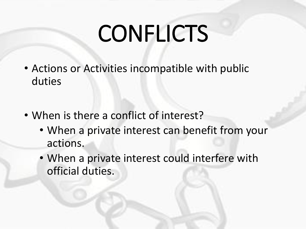- Actions or Activities incompatible with public duties
- When is there a conflict of interest?
	- When a private interest can benefit from your actions.
	- When a private interest could interfere with official duties.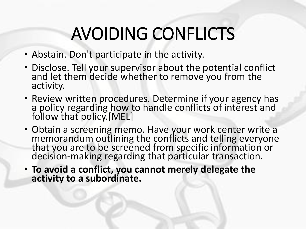# AVOIDING CONFLICTS

- Abstain. Don't participate in the activity.
- Disclose. Tell your supervisor about the potential conflict and let them decide whether to remove you from the activity.
- Review written procedures. Determine if your agency has a policy regarding how to handle conflicts of interest and follow that policy.[MEL]
- Obtain a screening memo. Have your work center write a memorandum outlining the conflicts and telling everyone that you are to be screened from specific information or decision-making regarding that particular transaction.
- **To avoid a conflict, you cannot merely delegate the activity to a subordinate.**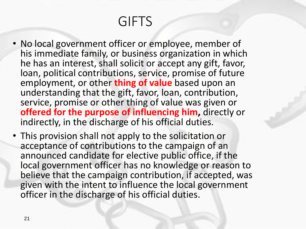#### **GIFTS**

- No local government officer or employee, member of his immediate family, or business organization in which he has an interest, shall solicit or accept any gift, favor, loan, political contributions, service, promise of future employment, or other **thing of value** based upon an understanding that the gift, favor, loan, contribution, service, promise or other thing of value was given or **offered for the purpose of influencing him,** directly or indirectly, in the discharge of his official duties.
- This provision shall not apply to the solicitation or acceptance of contributions to the campaign of an announced candidate for elective public office, if the local government officer has no knowledge or reason to believe that the campaign contribution, if accepted, was given with the intent to influence the local government officer in the discharge of his official duties.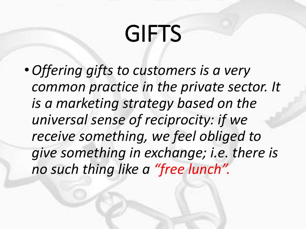# **GIFTS**

•*Offering gifts to customers is a very common practice in the private sector. It is a marketing strategy based on the universal sense of reciprocity: if we receive something, we feel obliged to give something in exchange; i.e. there is no such thing like a "free lunch".*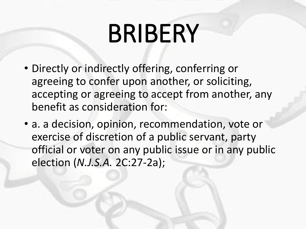# BRIBERY

- Directly or indirectly offering, conferring or agreeing to confer upon another, or soliciting, accepting or agreeing to accept from another, any benefit as consideration for:
- a. a decision, opinion, recommendation, vote or exercise of discretion of a public servant, party official or voter on any public issue or in any public election (*N.J.S.A.* 2C:27-2a);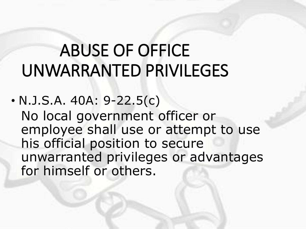# ABUSE OF OFFICE UNWARRANTED PRIVILEGES

• N.J.S.A. 40A: 9-22.5(c) No local government officer or employee shall use or attempt to use his official position to secure unwarranted privileges or advantages for himself or others.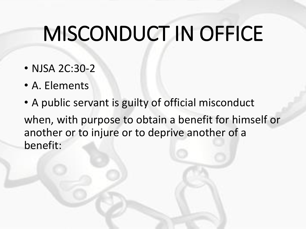# MISCONDUCT IN OFFICE

- NJSA 2C:30-2
- A. Elements
- A public servant is guilty of official misconduct when, with purpose to obtain a benefit for himself or another or to injure or to deprive another of a benefit: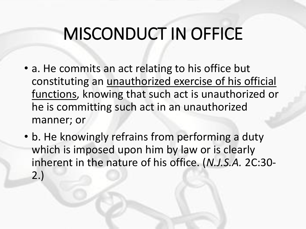## MISCONDUCT IN OFFICE

- a. He commits an act relating to his office but constituting an unauthorized exercise of his official functions, knowing that such act is unauthorized or he is committing such act in an unauthorized manner; or
- b. He knowingly refrains from performing a duty which is imposed upon him by law or is clearly inherent in the nature of his office. (*N.J.S.A.* 2C:30- 2.)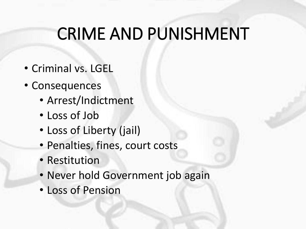### CRIME AND PUNISHMENT

- Criminal vs. LGEL
- Consequences
	- Arrest/Indictment
	- Loss of Job
	- Loss of Liberty (jail)
	- Penalties, fines, court costs
	- Restitution
	- Never hold Government job again
	- Loss of Pension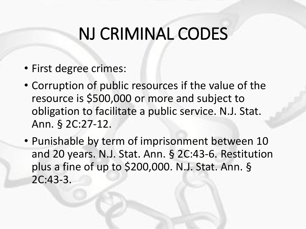### NJ CRIMINAL CODES

- First degree crimes:
- Corruption of public resources if the value of the resource is \$500,000 or more and subject to obligation to facilitate a public service. N.J. Stat. Ann. § 2C:27-12.
- Punishable by term of imprisonment between 10 and 20 years. N.J. Stat. Ann. § 2C:43-6. Restitution plus a fine of up to \$200,000. N.J. Stat. Ann. § 2C:43-3.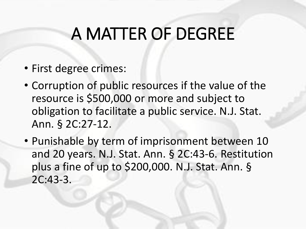### A MATTER OF DEGREE

- First degree crimes:
- Corruption of public resources if the value of the resource is \$500,000 or more and subject to obligation to facilitate a public service. N.J. Stat. Ann. § 2C:27-12.
- Punishable by term of imprisonment between 10 and 20 years. N.J. Stat. Ann. § 2C:43-6. Restitution plus a fine of up to \$200,000. N.J. Stat. Ann. § 2C:43-3.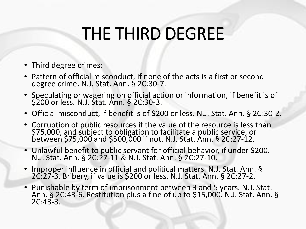### THE THIRD DEGREE

- Third degree crimes:
- Pattern of official misconduct, if none of the acts is a first or second degree crime. N.J. Stat. Ann. § 2C:30-7.
- Speculating or wagering on official action or information, if benefit is of \$200 or less. N.J. Stat. Ann. § 2C:30-3.
- Official misconduct, if benefit is of \$200 or less. N.J. Stat. Ann. § 2C:30-2.
- Corruption of public resources if the value of the resource is less than \$75,000, and subject to obligation to facilitate a public service, or between \$75,000 and \$500,000 if not. N.J. Stat. Ann. § 2C:27-12.
- Unlawful benefit to public servant for official behavior, if under \$200. N.J. Stat. Ann. § 2C:27-11 & N.J. Stat. Ann. § 2C:27-10.
- Improper influence in official and political matters. N.J. Stat. Ann. § 2C:27-3. Bribery, if value is \$200 or less. N.J. Stat. Ann. § 2C:27-2.
- Punishable by term of imprisonment between 3 and 5 years. N.J. Stat. Ann. § 2C:43-6. Restitution plus a fine of up to \$15,000. N.J. Stat. Ann. § 2C:43-3.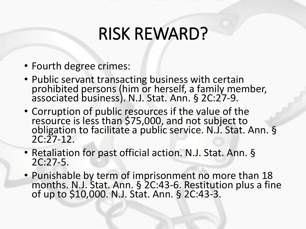### RISK REWARD?

- Fourth degree crimes:
- Public servant transacting business with certain prohibited persons (him or herself, a family member, associated business). N.J. Stat. Ann. § 2C:27-9.
- Corruption of public resources if the value of the resource is less than \$75,000, and not subject to obligation to facilitate a public service. N.J. Stat. Ann. §  $2C:27-12.$
- Retaliation for past official action. N.J. Stat. Ann. § 2C:27-5.
- Punishable by term of imprisonment no more than 18 months. N.J. Stat. Ann. § 2C:43-6. Restitution plus a fine of up to \$10,000. N.J. Stat. Ann. § 2C:43-3.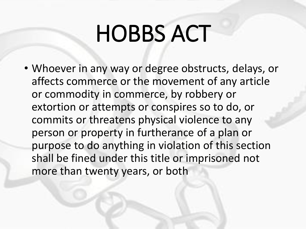# HOBBS ACT

• Whoever in any way or degree obstructs, delays, or affects commerce or the movement of any article or commodity in commerce, by robbery or extortion or attempts or conspires so to do, or commits or threatens physical violence to any person or property in furtherance of a plan or purpose to do anything in violation of this section shall be fined under this title or imprisoned not more than twenty years, or both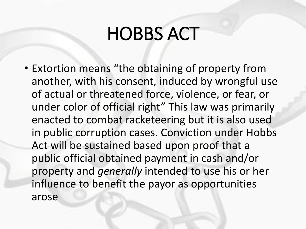# HOBBS ACT

• Extortion means "the obtaining of property from another, with his consent, induced by wrongful use of actual or threatened force, violence, or fear, or under color of official right" This law was primarily enacted to combat racketeering but it is also used in public corruption cases. Conviction under Hobbs Act will be sustained based upon proof that a public official obtained payment in cash and/or property and *generally* intended to use his or her influence to benefit the payor as opportunities arose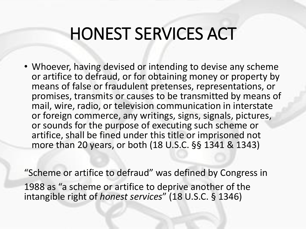### HONEST SERVICES ACT

• Whoever, having devised or intending to devise any scheme or artifice to defraud, or for obtaining money or property by means of false or fraudulent pretenses, representations, or promises, transmits or causes to be transmitted by means of mail, wire, radio, or television communication in interstate or foreign commerce, any writings, signs, signals, pictures, or sounds for the purpose of executing such scheme or artifice, shall be fined under this title or imprisoned not more than 20 years, or both (18 U.S.C. §§ 1341 & 1343)

"Scheme or artifice to defraud" was defined by Congress in 1988 as "a scheme or artifice to deprive another of the intangible right of *honest services*" (18 U.S.C. § 1346)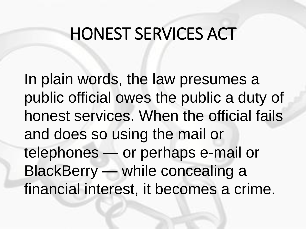#### HONEST SERVICES ACT

In plain words, the law presumes a public official owes the public a duty of honest services. When the official fails and does so using the mail or telephones — or perhaps e-mail or BlackBerry — while concealing a financial interest, it becomes a crime.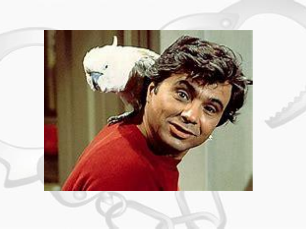